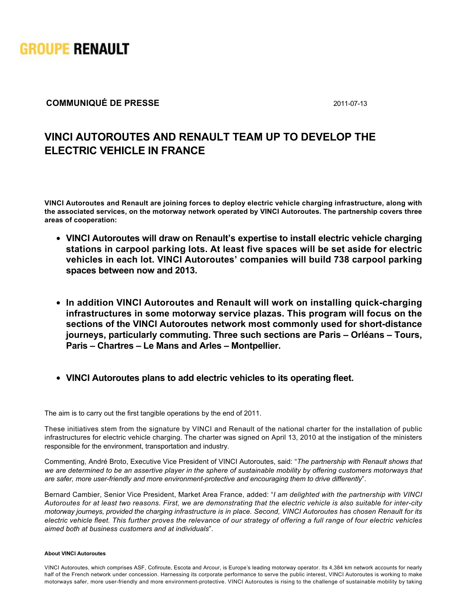

## **COMMUNIQUÉ DE PRESSE** 2011-07-13

## **VINCI AUTOROUTES AND RENAULT TEAM UP TO DEVELOP THE ELECTRIC VEHICLE IN FRANCE**

**VINCI Autoroutes and Renault are joining forces to deploy electric vehicle charging infrastructure, along with the associated services, on the motorway network operated by VINCI Autoroutes. The partnership covers three areas of cooperation:**

- **VINCI Autoroutes will draw on Renault's expertise to install electric vehicle charging stations in carpool parking lots. At least five spaces will be set aside for electric vehicles in each lot. VINCI Autoroutes' companies will build 738 carpool parking spaces between now and 2013.**
- In addition VINCI Autoroutes and Renault will work on installing quick-charging **infrastructures in some motorway service plazas. This program will focus on the** sections of the VINCI Autoroutes network most commonly used for short-distance **journeys, particularly commuting. Three such sections are Paris – Orléans – Tours, Paris – Chartres – Le Mans and Arles – Montpellier.**
- **VINCI Autoroutes plans to add electric vehicles to its operating fleet.**

The aim is to carry out the first tangible operations by the end of 2011.

These initiatives stem from the signature by VINCI and Renault of the national charter for the installation of public infrastructures for electric vehicle charging. The charter was signed on April 13, 2010 at the instigation of the ministers responsible for the environment, transportation and industry.

Commenting, André Broto, Executive Vice President of VINCI Autoroutes, said: "*The partnership with Renault shows that we are determined to be an assertive player in the sphere of sustainable mobility by offering customers motorways that* are safer, more user-friendly and more environment-protective and encouraging them to drive differently".

Bernard Cambier, Senior Vice President, Market Area France, added: "*I am delighted with the partnership with VINCI Autoroutes for at least two reasons. First, we are demonstrating that the electric vehicle is also suitable for intercity motorway journeys, provided the charging infrastructure is in place. Second, VINCI Autoroutes has chosen Renault for its electric vehicle fleet. This further proves the relevance of our strategy of offering a full range of four electric vehicles aimed both at business customers and at individuals*".

## **About VINCI Autoroutes**

VINCI Autoroutes, which comprises ASF, Cofiroute, Escota and Arcour, is Europe's leading motorway operator. Its 4,384 km network accounts for nearly half of the French network under concession. Harnessing its corporate performance to serve the public interest, VINCI Autoroutes is working to make motorways safer, more user-friendly and more environment-protective. VINCI Autoroutes is rising to the challenge of sustainable mobility by taking